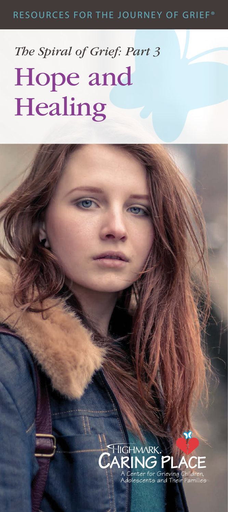#### RESOURCES FOR THE JOURNEY OF GRIEF®

## *The Spiral of Grief: Part 3*  Hope and **Healing**

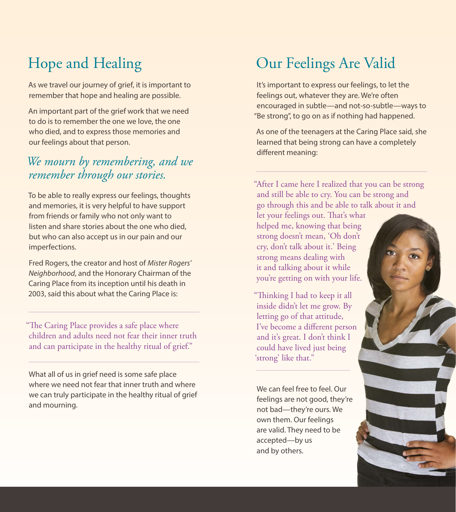## Hope and Healing

As we travel our journey of grief, it is important to remember that hope and healing are possible.

An important part of the grief work that we need to do is to remember the one we love, the one who died, and to express those memories and our feelings about that person.

#### *We mourn by remembering, and we remember through our stories.*

To be able to really express our feelings, thoughts and memories, it is very helpful to have support from friends or family who not only want to listen and share stories about the one who died, but who can also accept us in our pain and our imperfections.

Fred Rogers, the creator and host of *Mister Rogers' Neighborhood*, and the Honorary Chairman of the Caring Place from its inception until his death in 2003, said this about what the Caring Place is:

"The Caring Place provides a safe place where children and adults need not fear their inner truth and can participate in the healthy ritual of grief."

What all of us in grief need is some safe place where we need not fear that inner truth and where we can truly participate in the healthy ritual of grief and mourning.

#### Our Feelings Are Valid

It's important to express our feelings, to let the feelings out, whatever they are. We're often encouraged in subtle—and not-so-subtle—ways to "Be strong", to go on as if nothing had happened.

As one of the teenagers at the Caring Place said, she learned that being strong can have a completely different meaning:

"After I came here I realized that you can be strong and still be able to cry. You can be strong and go through this and be able to talk about it and

let your feelings out. That's what helped me, knowing that being strong doesn't mean, 'Oh don't cry, don't talk about it.' Being strong means dealing with it and talking about it while you're getting on with your life.

"Thinking I had to keep it all inside didn't let me grow. By letting go of that attitude, I've become a different person and it's great. I don't think I could have lived just being 'strong' like that."

We can feel free to feel. Our feelings are not good, they're not bad—they're ours. We own them. Our feelings are valid. They need to be accepted—by us and by others.

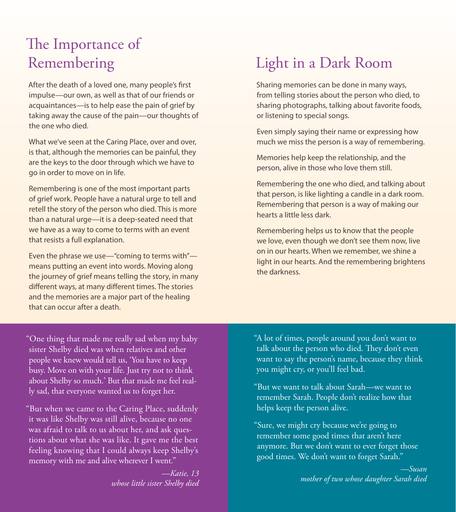### The Importance of Remembering

After the death of a loved one, many people's first impulse—our own, as well as that of our friends or acquaintances—is to help ease the pain of grief by taking away the cause of the pain—our thoughts of the one who died.

What we've seen at the Caring Place, over and over, is that, although the memories can be painful, they are the keys to the door through which we have to go in order to move on in life.

Remembering is one of the most important parts of grief work. People have a natural urge to tell and retell the story of the person who died. This is more than a natural urge—it is a deep-seated need that we have as a way to come to terms with an event that resists a full explanation.

Even the phrase we use—"coming to terms with" means putting an event into words. Moving along the journey of grief means telling the story, in many different ways, at many different times. The stories and the memories are a major part of the healing that can occur after a death.

#### Light in a Dark Room

Sharing memories can be done in many ways, from telling stories about the person who died, to sharing photographs, talking about favorite foods, or listening to special songs.

Even simply saying their name or expressing how much we miss the person is a way of remembering.

Memories help keep the relationship, and the person, alive in those who love them still.

Remembering the one who died, and talking about that person, is like lighting a candle in a dark room. Remembering that person is a way of making our hearts a little less dark.

Remembering helps us to know that the people we love, even though we don't see them now, live on in our hearts. When we remember, we shine a light in our hearts. And the remembering brightens the darkness.

"One thing that made me really sad when my baby sister Shelby died was when relatives and other people we knew would tell us, 'You have to keep busy. Move on with your life. Just try not to think about Shelby so much.' But that made me feel really sad, that everyone wanted us to forget her.

"But when we came to the Caring Place, suddenly it was like Shelby was still alive, because no one was afraid to talk to us about her, and ask questions about what she was like. It gave me the best feeling knowing that I could always keep Shelby's memory with me and alive wherever I went."

> *—Katie, 13 whose little sister Shelby died*

"A lot of times, people around you don't want to talk about the person who died. They don't even want to say the person's name, because they think you might cry, or you'll feel bad.

"But we want to talk about Sarah—we want to remember Sarah. People don't realize how that helps keep the person alive.

"Sure, we might cry because we're going to remember some good times that aren't here anymore. But we don't want to ever forget those good times. We don't want to forget Sarah."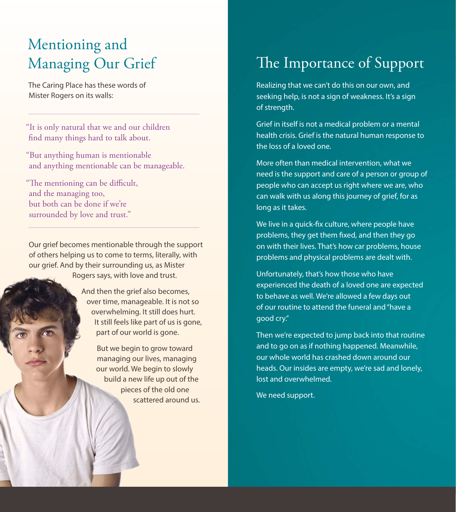#### Mentioning and Managing Our Grief

The Caring Place has these words of Mister Rogers on its walls:

"It is only natural that we and our children find many things hard to talk about.

"But anything human is mentionable and anything mentionable can be manageable.

"The mentioning can be difficult, and the managing too, but both can be done if we're surrounded by love and trust."

Our grief becomes mentionable through the support of others helping us to come to terms, literally, with our grief. And by their surrounding us, as Mister Rogers says, with love and trust.

> And then the grief also becomes, over time, manageable. It is not so overwhelming. It still does hurt. It still feels like part of us is gone, part of our world is gone.

> > But we begin to grow toward managing our lives, managing our world. We begin to slowly build a new life up out of the pieces of the old one scattered around us.

## The Importance of Support

Realizing that we can't do this on our own, and seeking help, is not a sign of weakness. It's a sign of strength.

Grief in itself is not a medical problem or a mental health crisis. Grief is the natural human response to the loss of a loved one.

More often than medical intervention, what we need is the support and care of a person or group of people who can accept us right where we are, who can walk with us along this journey of grief, for as long as it takes.

We live in a quick-fix culture, where people have problems, they get them fixed, and then they go on with their lives. That's how car problems, house problems and physical problems are dealt with.

Unfortunately, that's how those who have experienced the death of a loved one are expected to behave as well. We're allowed a few days out of our routine to attend the funeral and "have a good cry."

Then we're expected to jump back into that routine and to go on as if nothing happened. Meanwhile, our whole world has crashed down around our heads. Our insides are empty, we're sad and lonely, lost and overwhelmed.

We need support.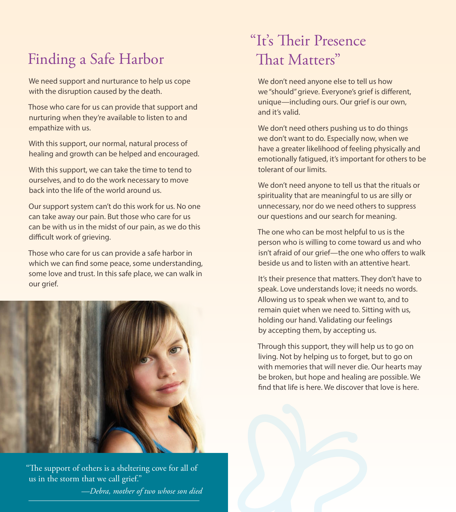### Finding a Safe Harbor

We need support and nurturance to help us cope with the disruption caused by the death.

Those who care for us can provide that support and nurturing when they're available to listen to and empathize with us.

With this support, our normal, natural process of healing and growth can be helped and encouraged.

With this support, we can take the time to tend to ourselves, and to do the work necessary to move back into the life of the world around us.

Our support system can't do this work for us. No one can take away our pain. But those who care for us can be with us in the midst of our pain, as we do this difficult work of grieving.

Those who care for us can provide a safe harbor in which we can find some peace, some understanding, some love and trust. In this safe place, we can walk in our grief.



"The support of others is a sheltering cove for all of us in the storm that we call grief." *—Debra, mother of two whose son died*

#### "It's Their Presence That Matters"

We don't need anyone else to tell us how we "should" grieve. Everyone's grief is different, unique—including ours. Our grief is our own, and it's valid.

We don't need others pushing us to do things we don't want to do. Especially now, when we have a greater likelihood of feeling physically and emotionally fatigued, it's important for others to be tolerant of our limits.

We don't need anyone to tell us that the rituals or spirituality that are meaningful to us are silly or unnecessary, nor do we need others to suppress our questions and our search for meaning.

The one who can be most helpful to us is the person who is willing to come toward us and who isn't afraid of our grief—the one who offers to walk beside us and to listen with an attentive heart.

It's their presence that matters. They don't have to speak. Love understands love; it needs no words. Allowing us to speak when we want to, and to remain quiet when we need to. Sitting with us, holding our hand. Validating our feelings by accepting them, by accepting us.

Through this support, they will help us to go on living. Not by helping us to forget, but to go on with memories that will never die. Our hearts may be broken, but hope and healing are possible. We find that life is here. We discover that love is here.

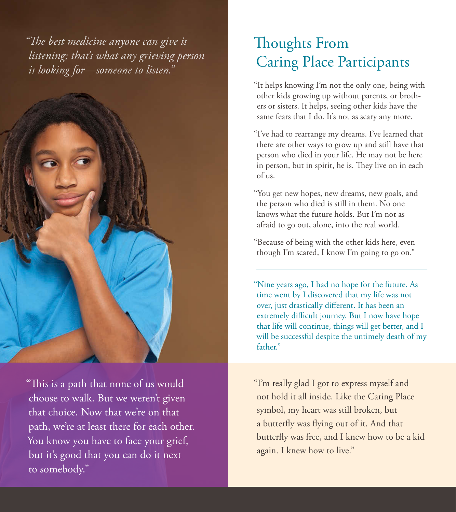*"The best medicine anyone can give is listening; that's what any grieving person is looking for—someone to listen."*



"This is a path that none of us would choose to walk. But we weren't given that choice. Now that we're on that path, we're at least there for each other. You know you have to face your grief, but it's good that you can do it next to somebody."

#### Thoughts From Caring Place Participants

"It helps knowing I'm not the only one, being with other kids growing up without parents, or brothers or sisters. It helps, seeing other kids have the same fears that I do. It's not as scary any more.

"I've had to rearrange my dreams. I've learned that there are other ways to grow up and still have that person who died in your life. He may not be here in person, but in spirit, he is. They live on in each of us.

"You get new hopes, new dreams, new goals, and the person who died is still in them. No one knows what the future holds. But I'm not as afraid to go out, alone, into the real world.

"Because of being with the other kids here, even though I'm scared, I know I'm going to go on."

"Nine years ago, I had no hope for the future. As time went by I discovered that my life was not over, just drastically different. It has been an extremely difficult journey. But I now have hope that life will continue, things will get better, and I will be successful despite the untimely death of my father."

"I'm really glad I got to express myself and not hold it all inside. Like the Caring Place symbol, my heart was still broken, but a butterfly was flying out of it. And that butterfly was free, and I knew how to be a kid again. I knew how to live."